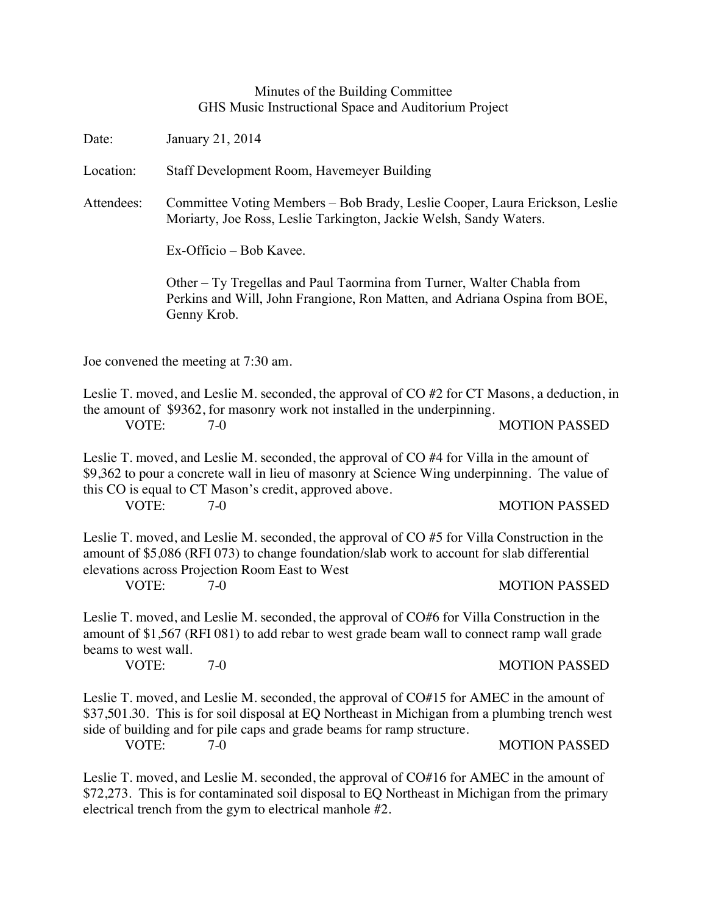## Minutes of the Building Committee GHS Music Instructional Space and Auditorium Project

Date: January 21, 2014

Location: Staff Development Room, Havemeyer Building

Attendees: Committee Voting Members – Bob Brady, Leslie Cooper, Laura Erickson, Leslie Moriarty, Joe Ross, Leslie Tarkington, Jackie Welsh, Sandy Waters.

Ex-Officio – Bob Kavee.

Other – Ty Tregellas and Paul Taormina from Turner, Walter Chabla from Perkins and Will, John Frangione, Ron Matten, and Adriana Ospina from BOE, Genny Krob.

Joe convened the meeting at 7:30 am.

Leslie T. moved, and Leslie M. seconded, the approval of CO #2 for CT Masons, a deduction, in the amount of \$9362, for masonry work not installed in the underpinning. VOTE: 7-0 MOTION PASSED

Leslie T. moved, and Leslie M. seconded, the approval of CO #4 for Villa in the amount of \$9,362 to pour a concrete wall in lieu of masonry at Science Wing underpinning. The value of this CO is equal to CT Mason's credit, approved above.

VOTE: 7-0 7-0 MOTION PASSED

Leslie T. moved, and Leslie M. seconded, the approval of CO #5 for Villa Construction in the amount of \$5,086 (RFI 073) to change foundation/slab work to account for slab differential elevations across Projection Room East to West

## VOTE: 7-0 MOTION PASSED

Leslie T. moved, and Leslie M. seconded, the approval of CO#6 for Villa Construction in the amount of \$1,567 (RFI 081) to add rebar to west grade beam wall to connect ramp wall grade beams to west wall.

VOTE: 7-0 MOTION PASSED

Leslie T. moved, and Leslie M. seconded, the approval of CO#15 for AMEC in the amount of \$37,501.30. This is for soil disposal at EQ Northeast in Michigan from a plumbing trench west side of building and for pile caps and grade beams for ramp structure.

VOTE: 7-0 7-0 MOTION PASSED

Leslie T. moved, and Leslie M. seconded, the approval of CO#16 for AMEC in the amount of \$72,273. This is for contaminated soil disposal to EQ Northeast in Michigan from the primary electrical trench from the gym to electrical manhole #2.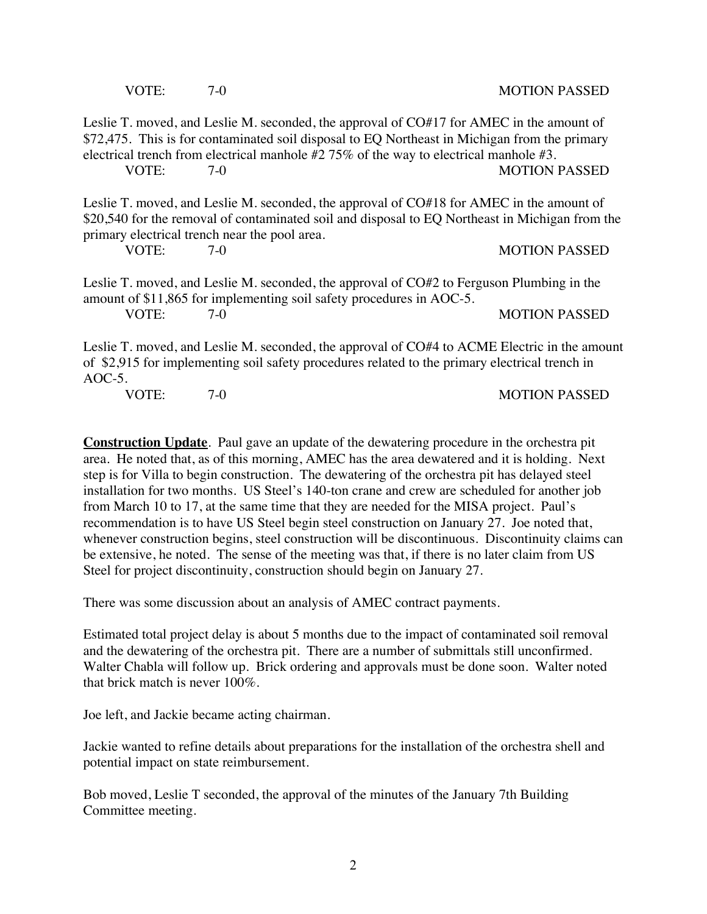|                                                                                                                                                                                                          | VOTE: | $7-0$                                                                                                                                                                                                                                                                                             | <b>MOTION PASSED</b> |
|----------------------------------------------------------------------------------------------------------------------------------------------------------------------------------------------------------|-------|---------------------------------------------------------------------------------------------------------------------------------------------------------------------------------------------------------------------------------------------------------------------------------------------------|----------------------|
|                                                                                                                                                                                                          | VOTE: | Leslie T. moved, and Leslie M. seconded, the approval of CO#17 for AMEC in the amount of<br>\$72,475. This is for contaminated soil disposal to EQ Northeast in Michigan from the primary<br>electrical trench from electrical manhole $#2 75\%$ of the way to electrical manhole $#3$ .<br>$7-0$ | <b>MOTION PASSED</b> |
|                                                                                                                                                                                                          | VOTE: | Leslie T. moved, and Leslie M. seconded, the approval of CO#18 for AMEC in the amount of<br>\$20,540 for the removal of contaminated soil and disposal to EQ Northeast in Michigan from the<br>primary electrical trench near the pool area.<br>$7-0$                                             | <b>MOTION PASSED</b> |
|                                                                                                                                                                                                          | VOTE: | Leslie T. moved, and Leslie M. seconded, the approval of CO#2 to Ferguson Plumbing in the<br>amount of \$11,865 for implementing soil safety procedures in AOC-5.<br>$7-0$                                                                                                                        | <b>MOTION PASSED</b> |
| Leslie T. moved, and Leslie M. seconded, the approval of CO#4 to ACME Electric in the amount<br>of \$2,915 for implementing soil safety procedures related to the primary electrical trench in<br>AOC-5. |       |                                                                                                                                                                                                                                                                                                   |                      |
|                                                                                                                                                                                                          | VOTE: | $7-0$                                                                                                                                                                                                                                                                                             | <b>MOTION PASSED</b> |

**Construction Update**. Paul gave an update of the dewatering procedure in the orchestra pit area. He noted that, as of this morning, AMEC has the area dewatered and it is holding. Next step is for Villa to begin construction. The dewatering of the orchestra pit has delayed steel installation for two months. US Steel's 140-ton crane and crew are scheduled for another job from March 10 to 17, at the same time that they are needed for the MISA project. Paul's recommendation is to have US Steel begin steel construction on January 27. Joe noted that, whenever construction begins, steel construction will be discontinuous. Discontinuity claims can be extensive, he noted. The sense of the meeting was that, if there is no later claim from US Steel for project discontinuity, construction should begin on January 27.

There was some discussion about an analysis of AMEC contract payments.

Estimated total project delay is about 5 months due to the impact of contaminated soil removal and the dewatering of the orchestra pit. There are a number of submittals still unconfirmed. Walter Chabla will follow up. Brick ordering and approvals must be done soon. Walter noted that brick match is never 100%.

Joe left, and Jackie became acting chairman.

Jackie wanted to refine details about preparations for the installation of the orchestra shell and potential impact on state reimbursement.

Bob moved, Leslie T seconded, the approval of the minutes of the January 7th Building Committee meeting.